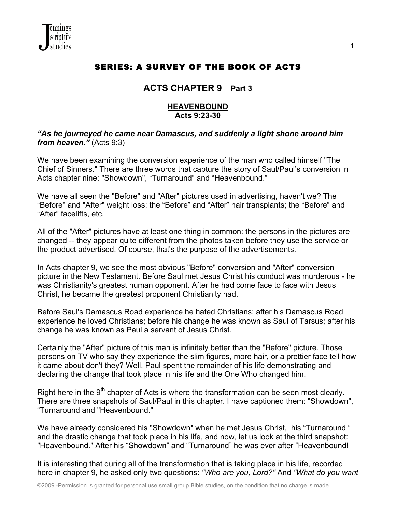

# SERIES: A SURVEY OF THE BOOK OF ACTS

1

# **ACTS CHAPTER 9** – **Part 3**

### **HEAVENBOUND Acts 9:23-30**

### *"As he journeyed he came near Damascus, and suddenly a light shone around him from heaven."* (Acts 9:3)

We have been examining the conversion experience of the man who called himself "The Chief of Sinners." There are three words that capture the story of Saul/Paul's conversion in Acts chapter nine: "Showdown", "Turnaround" and "Heavenbound."

We have all seen the "Before" and "After" pictures used in advertising, haven't we? The "Before" and "After" weight loss; the "Before" and "After" hair transplants; the "Before" and "After" facelifts, etc.

All of the "After" pictures have at least one thing in common: the persons in the pictures are changed -- they appear quite different from the photos taken before they use the service or the product advertised. Of course, that's the purpose of the advertisements.

In Acts chapter 9, we see the most obvious "Before" conversion and "After" conversion picture in the New Testament. Before Saul met Jesus Christ his conduct was murderous - he was Christianity's greatest human opponent. After he had come face to face with Jesus Christ, he became the greatest proponent Christianity had.

Before Saul's Damascus Road experience he hated Christians; after his Damascus Road experience he loved Christians; before his change he was known as Saul of Tarsus; after his change he was known as Paul a servant of Jesus Christ.

Certainly the "After" picture of this man is infinitely better than the "Before" picture. Those persons on TV who say they experience the slim figures, more hair, or a prettier face tell how it came about don't they? Well, Paul spent the remainder of his life demonstrating and declaring the change that took place in his life and the One Who changed him.

Right here in the  $9<sup>th</sup>$  chapter of Acts is where the transformation can be seen most clearly. There are three snapshots of Saul/Paul in this chapter. I have captioned them: "Showdown", "Turnaround and "Heavenbound."

We have already considered his "Showdown" when he met Jesus Christ, his "Turnaround " and the drastic change that took place in his life, and now, let us look at the third snapshot: "Heavenbound." After his "Showdown" and "Turnaround" he was ever after "Heavenbound!

It is interesting that during all of the transformation that is taking place in his life, recorded here in chapter 9, he asked only two questions: *"Who are you, Lord?"* And *"What do you want*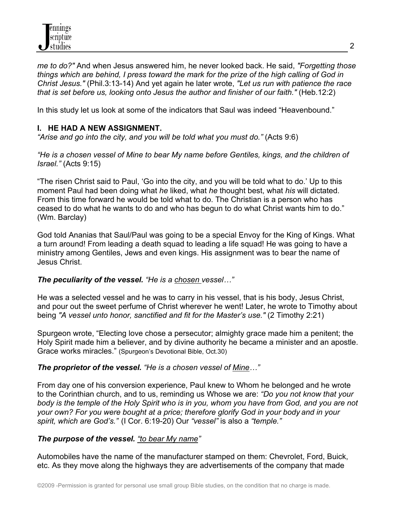*me to do?"* And when Jesus answered him, he never looked back. He said, *"Forgetting those things which are behind, I press toward the mark for the prize of the high calling of God in Christ Jesus."* (Phil.3:13-14) And yet again he later wrote, *"Let us run with patience the race that is set before us, looking onto Jesus the author and finisher of our faith."* (Heb.12:2)

In this study let us look at some of the indicators that Saul was indeed "Heavenbound."

# **I. HE HAD A NEW ASSIGNMENT.**

*"Arise and go into the city, and you will be told what you must do."* (Acts 9:6)

*"He is a chosen vessel of Mine to bear My name before Gentiles, kings, and the children of Israel."* (Acts 9:15)

"The risen Christ said to Paul, 'Go into the city, and you will be told what to do.' Up to this moment Paul had been doing what *he* liked, what *he* thought best, what *his* will dictated. From this time forward he would be told what to do. The Christian is a person who has ceased to do what he wants to do and who has begun to do what Christ wants him to do." (Wm. Barclay)

God told Ananias that Saul/Paul was going to be a special Envoy for the King of Kings. What a turn around! From leading a death squad to leading a life squad! He was going to have a ministry among Gentiles, Jews and even kings. His assignment was to bear the name of Jesus Christ.

# *The peculiarity of the vessel. "He is a chosen vessel…"*

He was a selected vessel and he was to carry in his vessel, that is his body, Jesus Christ, and pour out the sweet perfume of Christ wherever he went! Later, he wrote to Timothy about being *"A vessel unto honor, sanctified and fit for the Master's use."* (2 Timothy 2:21)

Spurgeon wrote, "Electing love chose a persecutor; almighty grace made him a penitent; the Holy Spirit made him a believer, and by divine authority he became a minister and an apostle. Grace works miracles." (Spurgeon's Devotional Bible, Oct.30)

# *The proprietor of the vessel. "He is a chosen vessel of Mine…"*

From day one of his conversion experience, Paul knew to Whom he belonged and he wrote to the Corinthian church, and to us, reminding us Whose we are: *"Do you not know that your body is the temple of the Holy Spirit who is in you, whom you have from God, and you are not your own? For you were bought at a price; therefore glorify God in your body and in your spirit, which are God's."* (I Cor. 6:19-20) Our *"vessel"* is also a *"temple."*

# *The purpose of the vessel. "to bear My name"*

Automobiles have the name of the manufacturer stamped on them: Chevrolet, Ford, Buick, etc. As they move along the highways they are advertisements of the company that made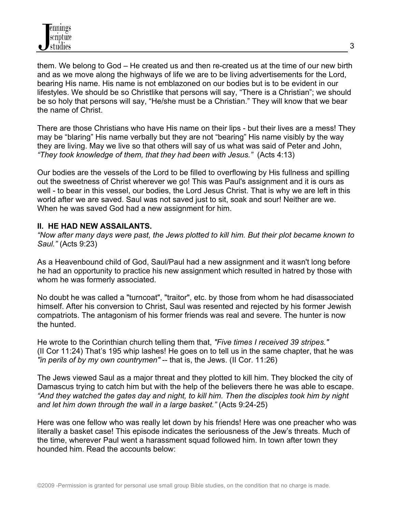them. We belong to God – He created us and then re-created us at the time of our new birth and as we move along the highways of life we are to be living advertisements for the Lord, bearing His name. His name is not emblazoned on our bodies but is to be evident in our lifestyles. We should be so Christlike that persons will say, "There is a Christian"; we should be so holy that persons will say, "He/she must be a Christian." They will know that we bear the name of Christ.

There are those Christians who have His name on their lips - but their lives are a mess! They may be "blaring" His name verbally but they are not "bearing" His name visibly by the way they are living. May we live so that others will say of us what was said of Peter and John, *"They took knowledge of them, that they had been with Jesus."* (Acts 4:13)

Our bodies are the vessels of the Lord to be filled to overflowing by His fullness and spilling out the sweetness of Christ wherever we go! This was Paul's assignment and it is ours as well - to bear in this vessel, our bodies, the Lord Jesus Christ. That is why we are left in this world after we are saved. Saul was not saved just to sit, soak and sour! Neither are we. When he was saved God had a new assignment for him.

## **II. HE HAD NEW ASSAILANTS.**

*"Now after many days were past, the Jews plotted to kill him. But their plot became known to Saul."* (Acts 9:23)

As a Heavenbound child of God, Saul/Paul had a new assignment and it wasn't long before he had an opportunity to practice his new assignment which resulted in hatred by those with whom he was formerly associated.

No doubt he was called a "turncoat", "traitor", etc. by those from whom he had disassociated himself. After his conversion to Christ, Saul was resented and rejected by his former Jewish compatriots. The antagonism of his former friends was real and severe. The hunter is now the hunted.

He wrote to the Corinthian church telling them that, *"Five times I received 39 stripes."* (II Cor 11:24) That's 195 whip lashes! He goes on to tell us in the same chapter, that he was *"in perils of by my own countrymen"* -- that is, the Jews. (II Cor. 11:26)

The Jews viewed Saul as a major threat and they plotted to kill him. They blocked the city of Damascus trying to catch him but with the help of the believers there he was able to escape. *"And they watched the gates day and night, to kill him. Then the disciples took him by night and let him down through the wall in a large basket."* (Acts 9:24-25)

Here was one fellow who was really let down by his friends! Here was one preacher who was literally a basket case! This episode indicates the seriousness of the Jew's threats. Much of the time, wherever Paul went a harassment squad followed him. In town after town they hounded him. Read the accounts below: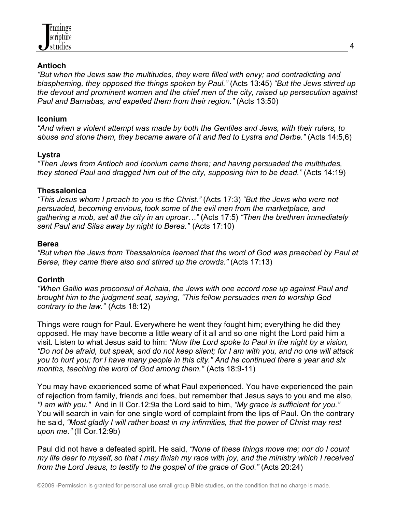

### **Antioch**

*"But when the Jews saw the multitudes, they were filled with envy; and contradicting and blaspheming, they opposed the things spoken by Paul."* (Acts 13:45) *"But the Jews stirred up the devout and prominent women and the chief men of the city, raised up persecution against Paul and Barnabas, and expelled them from their region."* (Acts 13:50)

#### **Iconium**

*"And when a violent attempt was made by both the Gentiles and Jews, with their rulers, to abuse and stone them, they became aware of it and fled to Lystra and Derbe."* (Acts 14:5,6)

### **Lystra**

*"Then Jews from Antioch and Iconium came there; and having persuaded the multitudes, they stoned Paul and dragged him out of the city, supposing him to be dead."* (Acts 14:19)

### **Thessalonica**

*"This Jesus whom I preach to you is the Christ."* (Acts 17:3) *"But the Jews who were not persuaded, becoming envious, took some of the evil men from the marketplace, and gathering a mob, set all the city in an uproar…"* (Acts 17:5) *"Then the brethren immediately sent Paul and Silas away by night to Berea."* (Acts 17:10)

### **Berea**

*"But when the Jews from Thessalonica learned that the word of God was preached by Paul at Berea, they came there also and stirred up the crowds." (Acts 17:13)* 

## **Corinth**

*"When Gallio was proconsul of Achaia, the Jews with one accord rose up against Paul and brought him to the judgment seat, saying, "This fellow persuades men to worship God contrary to the law."* (Acts 18:12)

Things were rough for Paul. Everywhere he went they fought him; everything he did they opposed. He may have become a little weary of it all and so one night the Lord paid him a visit. Listen to what Jesus said to him: *"Now the Lord spoke to Paul in the night by a vision, "Do not be afraid, but speak, and do not keep silent; for I am with you, and no one will attack you to hurt you; for I have many people in this city." And he continued there a year and six months, teaching the word of God among them."* (Acts 18:9-11)

You may have experienced some of what Paul experienced. You have experienced the pain of rejection from family, friends and foes, but remember that Jesus says to you and me also, *"I am with you."* And in II Cor.12:9a the Lord said to him, *"My grace is sufficient for you."* You will search in vain for one single word of complaint from the lips of Paul. On the contrary he said, *"Most gladly I will rather boast in my infirmities, that the power of Christ may rest upon me."* (II Cor.12:9b)

Paul did not have a defeated spirit. He said, *"None of these things move me; nor do I count my life dear to myself, so that I may finish my race with joy, and the ministry which I received from the Lord Jesus, to testify to the gospel of the grace of God."* (Acts 20:24)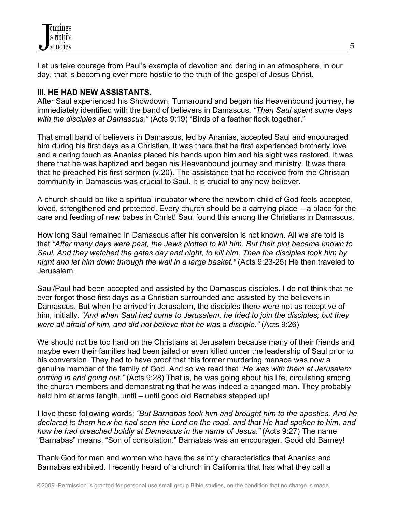Let us take courage from Paul's example of devotion and daring in an atmosphere, in our day, that is becoming ever more hostile to the truth of the gospel of Jesus Christ.

# **III. HE HAD NEW ASSISTANTS.**

After Saul experienced his Showdown, Turnaround and began his Heavenbound journey, he immediately identified with the band of believers in Damascus. *"Then Saul spent some days with the disciples at Damascus."* (Acts 9:19) "Birds of a feather flock together."

That small band of believers in Damascus, led by Ananias, accepted Saul and encouraged him during his first days as a Christian. It was there that he first experienced brotherly love and a caring touch as Ananias placed his hands upon him and his sight was restored. It was there that he was baptized and began his Heavenbound journey and ministry. It was there that he preached his first sermon (v.20). The assistance that he received from the Christian community in Damascus was crucial to Saul. It is crucial to any new believer.

A church should be like a spiritual incubator where the newborn child of God feels accepted, loved, strengthened and protected. Every church should be a carrying place -- a place for the care and feeding of new babes in Christ! Saul found this among the Christians in Damascus.

How long Saul remained in Damascus after his conversion is not known. All we are told is that *"After many days were past, the Jews plotted to kill him. But their plot became known to Saul. And they watched the gates day and night, to kill him. Then the disciples took him by night and let him down through the wall in a large basket."* (Acts 9:23-25) He then traveled to Jerusalem.

Saul/Paul had been accepted and assisted by the Damascus disciples. I do not think that he ever forgot those first days as a Christian surrounded and assisted by the believers in Damascus. But when he arrived in Jerusalem, the disciples there were not as receptive of him, initially. *"And when Saul had come to Jerusalem, he tried to join the disciples; but they were all afraid of him, and did not believe that he was a disciple."* (Acts 9:26)

We should not be too hard on the Christians at Jerusalem because many of their friends and maybe even their families had been jailed or even killed under the leadership of Saul prior to his conversion. They had to have proof that this former murdering menace was now a genuine member of the family of God. And so we read that "*He was with them at Jerusalem coming in and going out."* (Acts 9:28) That is, he was going about his life, circulating among the church members and demonstrating that he was indeed a changed man. They probably held him at arms length, until – until good old Barnabas stepped up!

I love these following words: *"But Barnabas took him and brought him to the apostles. And he declared to them how he had seen the Lord on the road, and that He had spoken to him, and how he had preached boldly at Damascus in the name of Jesus."* (Acts 9:27) The name "Barnabas" means, "Son of consolation." Barnabas was an encourager. Good old Barney!

Thank God for men and women who have the saintly characteristics that Ananias and Barnabas exhibited. I recently heard of a church in California that has what they call a